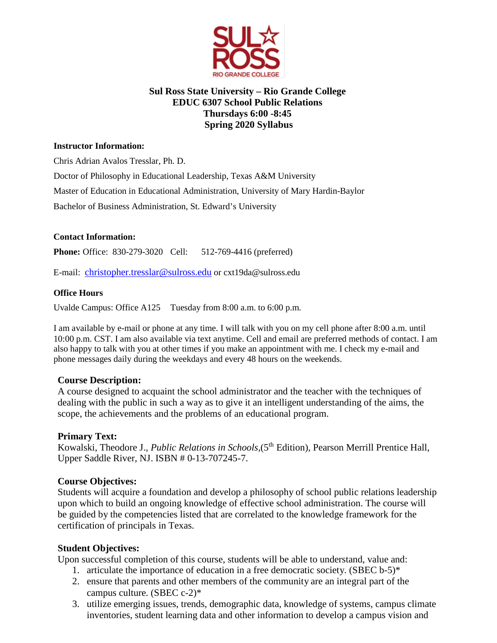

# **Sul Ross State University – Rio Grande College EDUC 6307 School Public Relations Thursdays 6:00 -8:45 Spring 2020 Syllabus**

## **Instructor Information:**

Chris Adrian Avalos Tresslar, Ph. D.

Doctor of Philosophy in Educational Leadership, Texas A&M University

Master of Education in Educational Administration, University of Mary Hardin-Baylor

Bachelor of Business Administration, St. Edward's University

# **Contact Information:**

**Phone:** Office: 830-279-3020 Cell: 512-769-4416 (preferred)

E-mail: [christopher.tresslar@sulross.edu](mailto:christopher.tresslar@sulross.edu) or cxt19da@sulross.edu

# **Office Hours**

Uvalde Campus: Office A125 Tuesday from 8:00 a.m. to 6:00 p.m.

I am available by e-mail or phone at any time. I will talk with you on my cell phone after 8:00 a.m. until 10:00 p.m. CST. I am also available via text anytime. Cell and email are preferred methods of contact. I am also happy to talk with you at other times if you make an appointment with me. I check my e-mail and phone messages daily during the weekdays and every 48 hours on the weekends.

# **Course Description:**

A course designed to acquaint the school administrator and the teacher with the techniques of dealing with the public in such a way as to give it an intelligent understanding of the aims, the scope, the achievements and the problems of an educational program.

# **Primary Text:**

Kowalski, Theodore J., *Public Relations in Schools*, (5<sup>th</sup> Edition), Pearson Merrill Prentice Hall, Upper Saddle River, NJ. ISBN # 0-13-707245-7.

# **Course Objectives:**

Students will acquire a foundation and develop a philosophy of school public relations leadership upon which to build an ongoing knowledge of effective school administration. The course will be guided by the competencies listed that are correlated to the knowledge framework for the certification of principals in Texas.

# **Student Objectives:**

Upon successful completion of this course, students will be able to understand, value and:

- 1. articulate the importance of education in a free democratic society. (SBEC  $b-5$ )\*
- 2. ensure that parents and other members of the community are an integral part of the campus culture. (SBEC c-2)\*
- 3. utilize emerging issues, trends, demographic data, knowledge of systems, campus climate inventories, student learning data and other information to develop a campus vision and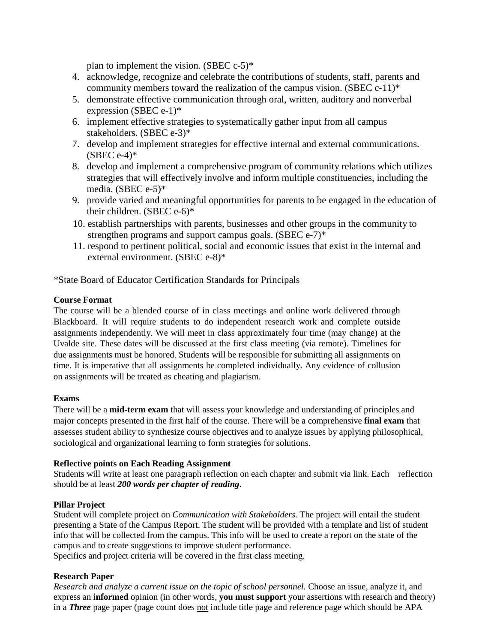plan to implement the vision. (SBEC  $c-5$ )\*

- 4. acknowledge, recognize and celebrate the contributions of students, staff, parents and community members toward the realization of the campus vision. (SBEC  $c-11$ )\*
- 5. demonstrate effective communication through oral, written, auditory and nonverbal expression (SBEC e-1)\*
- 6. implement effective strategies to systematically gather input from all campus stakeholders. (SBEC e-3)\*
- 7. develop and implement strategies for effective internal and external communications.  $(SBEC e-4)*$
- 8. develop and implement a comprehensive program of community relations which utilizes strategies that will effectively involve and inform multiple constituencies, including the media. (SBEC e-5)\*
- 9. provide varied and meaningful opportunities for parents to be engaged in the education of their children. (SBEC e-6)\*
- 10. establish partnerships with parents, businesses and other groups in the community to strengthen programs and support campus goals. (SBEC e-7)<sup>\*</sup>
- 11. respond to pertinent political, social and economic issues that exist in the internal and external environment. (SBEC e-8)\*

\*State Board of Educator Certification Standards for Principals

## **Course Format**

The course will be a blended course of in class meetings and online work delivered through Blackboard. It will require students to do independent research work and complete outside assignments independently. We will meet in class approximately four time (may change) at the Uvalde site. These dates will be discussed at the first class meeting (via remote). Timelines for due assignments must be honored. Students will be responsible for submitting all assignments on time. It is imperative that all assignments be completed individually. Any evidence of collusion on assignments will be treated as cheating and plagiarism.

#### **Exams**

There will be a **mid-term exam** that will assess your knowledge and understanding of principles and major concepts presented in the first half of the course. There will be a comprehensive **final exam** that assesses student ability to synthesize course objectives and to analyze issues by applying philosophical, sociological and organizational learning to form strategies for solutions.

#### **Reflective points on Each Reading Assignment**

Students will write at least one paragraph reflection on each chapter and submit via link. Each reflection should be at least *200 words per chapter of reading*.

# **Pillar Project**

Student will complete project on *Communication with Stakeholders.* The project will entail the student presenting a State of the Campus Report. The student will be provided with a template and list of student info that will be collected from the campus. This info will be used to create a report on the state of the campus and to create suggestions to improve student performance.

Specifics and project criteria will be covered in the first class meeting.

# **Research Paper**

*Research and analyze a current issue on the topic of school personnel.* Choose an issue, analyze it, and express an **informed** opinion (in other words, **you must support** your assertions with research and theory) in a *Three* page paper (page count does not include title page and reference page which should be APA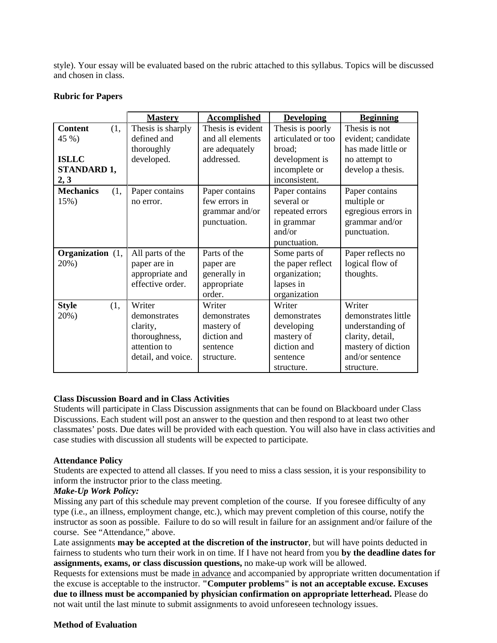style). Your essay will be evaluated based on the rubric attached to this syllabus. Topics will be discussed and chosen in class.

#### **Mastery Accomplished Developing Beginning Content** (1, 45 %) **ISLLC STANDARD 1, 2, 3** Thesis is sharply defined and thoroughly developed. Thesis is evident and all elements are adequately addressed. Thesis is poorly articulated or too broad; development is incomplete or inconsistent. Thesis is not evident; candidate has made little or no attempt to develop a thesis. **Mechanics** (1, 15%) Paper contains no error. Paper contains few errors in grammar and/or punctuation. Paper contains several or repeated errors in grammar and/or punctuation. Paper contains multiple or egregious errors in grammar and/or punctuation. **Organization** (1, 20%) All parts of the paper are in appropriate and effective order. Parts of the paper are generally in appropriate order. Some parts of the paper reflect organization; lapses in organization Paper reflects no logical flow of thoughts. **Style** (1, 20%) Writer demonstrates clarity, thoroughness, attention to detail, and voice. Writer demonstrates mastery of diction and sentence structure. Writer demonstrates developing mastery of diction and sentence structure. Writer demonstrates little understanding of clarity, detail, mastery of diction and/or sentence structure.

## **Rubric for Papers**

#### **Class Discussion Board and in Class Activities**

Students will participate in Class Discussion assignments that can be found on Blackboard under Class Discussions. Each student will post an answer to the question and then respond to at least two other classmates' posts. Due dates will be provided with each question. You will also have in class activities and case studies with discussion all students will be expected to participate.

#### **Attendance Policy**

Students are expected to attend all classes. If you need to miss a class session, it is your responsibility to inform the instructor prior to the class meeting.

# *Make-Up Work Policy:*

Missing any part of this schedule may prevent completion of the course. If you foresee difficulty of any type (i.e., an illness, employment change, etc.), which may prevent completion of this course, notify the instructor as soon as possible. Failure to do so will result in failure for an assignment and/or failure of the course. See "Attendance," above.

Late assignments **may be accepted at the discretion of the instructor**, but will have points deducted in fairness to students who turn their work in on time. If I have not heard from you **by the deadline dates for assignments, exams, or class discussion questions,** no make-up work will be allowed.

Requests for extensions must be made in advance and accompanied by appropriate written documentation if the excuse is acceptable to the instructor. **"Computer problems" is not an acceptable excuse. Excuses due to illness must be accompanied by physician confirmation on appropriate letterhead.** Please do not wait until the last minute to submit assignments to avoid unforeseen technology issues.

#### **Method of Evaluation**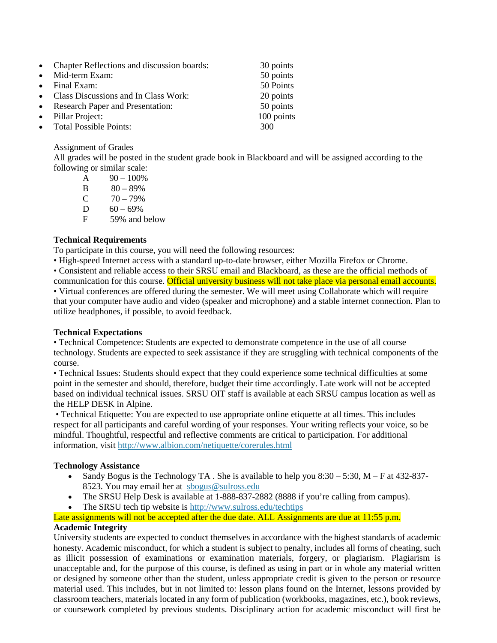| • Chapter Reflections and discussion boards: | 30 points  |
|----------------------------------------------|------------|
| • Mid-term Exam:                             | 50 points  |
| • Final Exam:                                | 50 Points  |
| • Class Discussions and In Class Work:       | 20 points  |
| • Research Paper and Presentation:           | 50 points  |
| • Pillar Project:                            | 100 points |
| • Total Possible Points:                     | 300        |

#### Assignment of Grades

All grades will be posted in the student grade book in Blackboard and will be assigned according to the following or similar scale:

| A | $90 - 100\%$  |
|---|---------------|
| В | $80 - 89\%$   |
| C | $70 - 79%$    |
| D | $60 - 69\%$   |
| F | 59% and below |
|   |               |

#### **Technical Requirements**

To participate in this course, you will need the following resources:

• High-speed Internet access with a standard up-to-date browser, either Mozilla Firefox or Chrome.

• Consistent and reliable access to their SRSU email and Blackboard, as these are the official methods of communication for this course. Official university business will not take place via personal email accounts. • Virtual conferences are offered during the semester. We will meet using Collaborate which will require that your computer have audio and video (speaker and microphone) and a stable internet connection. Plan to utilize headphones, if possible, to avoid feedback.

#### **Technical Expectations**

• Technical Competence: Students are expected to demonstrate competence in the use of all course technology. Students are expected to seek assistance if they are struggling with technical components of the course.

• Technical Issues: Students should expect that they could experience some technical difficulties at some point in the semester and should, therefore, budget their time accordingly. Late work will not be accepted based on individual technical issues. SRSU OIT staff is available at each SRSU campus location as well as the HELP DESK in Alpine.

• Technical Etiquette: You are expected to use appropriate online etiquette at all times. This includes respect for all participants and careful wording of your responses. Your writing reflects your voice, so be mindful. Thoughtful, respectful and reflective comments are critical to participation. For additional information, visit <http://www.albion.com/netiquette/corerules.html>

#### **Technology Assistance**

- Sandy Bogus is the Technology TA . She is available to help you  $8:30 5:30$ , M F at 432-837-8523. You may email her at [sbogus@sulross.edu](mailto:sbogus@sulross.edu)
- The SRSU Help Desk is available at 1-888-837-2882 (8888 if you're calling from campus).
- The SRSU tech tip website is <http://www.sulross.edu/techtips>

## Late assignments will not be accepted after the due date. ALL Assignments are due at 11:55 p.m. **Academic Integrity**

University students are expected to conduct themselves in accordance with the highest standards of academic honesty. Academic misconduct, for which a student is subject to penalty, includes all forms of cheating, such as illicit possession of examinations or examination materials, forgery, or plagiarism. Plagiarism is unacceptable and, for the purpose of this course, is defined as using in part or in whole any material written or designed by someone other than the student, unless appropriate credit is given to the person or resource material used. This includes, but in not limited to: lesson plans found on the Internet, lessons provided by classroom teachers, materials located in any form of publication (workbooks, magazines, etc.), book reviews, or coursework completed by previous students. Disciplinary action for academic misconduct will first be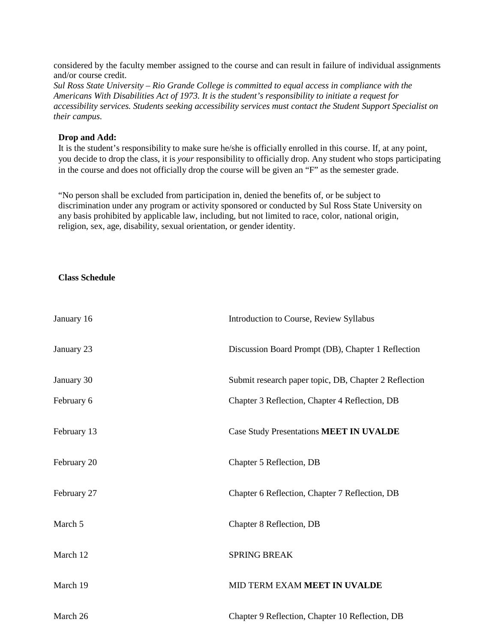considered by the faculty member assigned to the course and can result in failure of individual assignments and/or course credit.

*Sul Ross State University – Rio Grande College is committed to equal access in compliance with the Americans With Disabilities Act of 1973. It is the student's responsibility to initiate a request for accessibility services. Students seeking accessibility services must contact the Student Support Specialist on their campus.*

#### **Drop and Add:**

It is the student's responsibility to make sure he/she is officially enrolled in this course. If, at any point, you decide to drop the class, it is *your* responsibility to officially drop. Any student who stops participating in the course and does not officially drop the course will be given an "F" as the semester grade.

"No person shall be excluded from participation in, denied the benefits of, or be subject to discrimination under any program or activity sponsored or conducted by Sul Ross State University on any basis prohibited by applicable law, including, but not limited to race, color, national origin, religion, sex, age, disability, sexual orientation, or gender identity.

#### **Class Schedule**

| January 16  | Introduction to Course, Review Syllabus               |
|-------------|-------------------------------------------------------|
| January 23  | Discussion Board Prompt (DB), Chapter 1 Reflection    |
| January 30  | Submit research paper topic, DB, Chapter 2 Reflection |
| February 6  | Chapter 3 Reflection, Chapter 4 Reflection, DB        |
| February 13 | Case Study Presentations MEET IN UVALDE               |
| February 20 | Chapter 5 Reflection, DB                              |
| February 27 | Chapter 6 Reflection, Chapter 7 Reflection, DB        |
| March 5     | Chapter 8 Reflection, DB                              |
| March 12    | <b>SPRING BREAK</b>                                   |
| March 19    | MID TERM EXAM MEET IN UVALDE                          |
| March 26    | Chapter 9 Reflection, Chapter 10 Reflection, DB       |